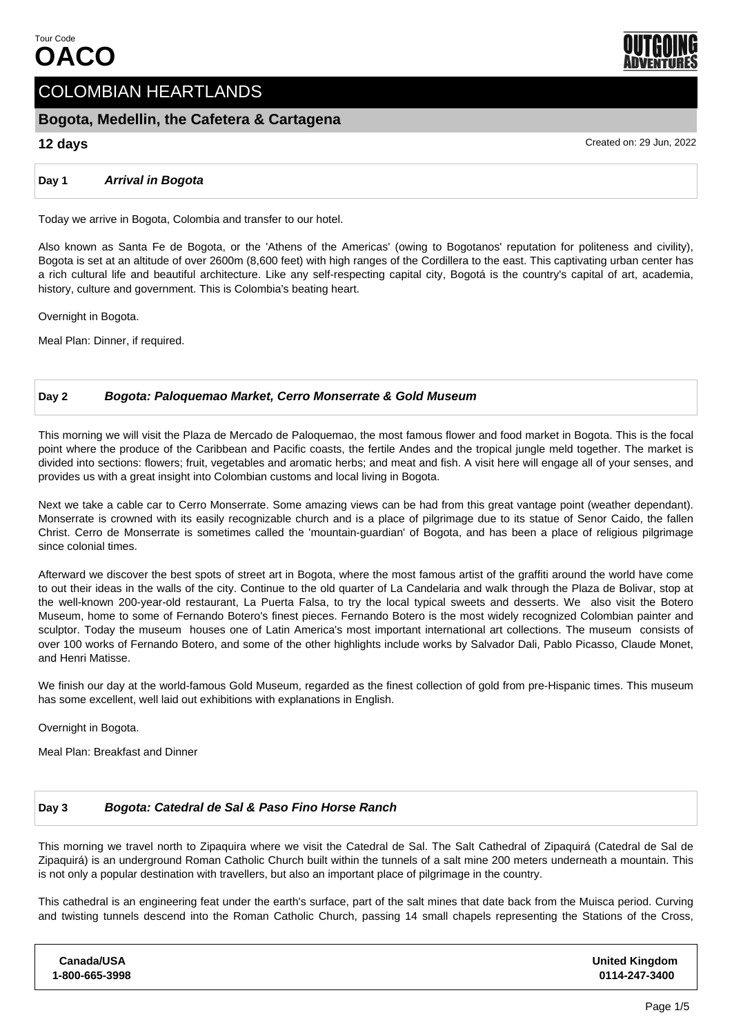

# COLOMBIAN HEARTLANDS

# **Bogota, Medellin, the Cafetera & Cartagena**

**12 days** Created on: 29 Jun, 2022

## **Day 1 Arrival in Bogota**

Today we arrive in Bogota, Colombia and transfer to our hotel.

Also known as Santa Fe de Bogota, or the 'Athens of the Americas' (owing to Bogotanos' reputation for politeness and civility), Bogota is set at an altitude of over 2600m (8,600 feet) with high ranges of the Cordillera to the east. This captivating urban center has a rich cultural life and beautiful architecture. Like any self-respecting capital city, Bogotá is the country's capital of art, academia, history, culture and government. This is Colombia's beating heart.

Overnight in Bogota.

Meal Plan: Dinner, if required.

# **Day 2 Bogota: Paloquemao Market, Cerro Monserrate & Gold Museum**

This morning we will visit the Plaza de Mercado de Paloquemao, the most famous flower and food market in Bogota. This is the focal point where the produce of the Caribbean and Pacific coasts, the fertile Andes and the tropical jungle meld together. The market is divided into sections: flowers; fruit, vegetables and aromatic herbs; and meat and fish. A visit here will engage all of your senses, and provides us with a great insight into Colombian customs and local living in Bogota.

Next we take a cable car to Cerro Monserrate. Some amazing views can be had from this great vantage point (weather dependant). Monserrate is crowned with its easily recognizable church and is a place of pilgrimage due to its statue of Senor Caido, the fallen Christ. Cerro de Monserrate is sometimes called the 'mountain-guardian' of Bogota, and has been a place of religious pilgrimage since colonial times.

Afterward we discover the best spots of street art in Bogota, where the most famous artist of the graffiti around the world have come to out their ideas in the walls of the city. Continue to the old quarter of La Candelaria and walk through the Plaza de Bolivar, stop at the well-known 200-year-old restaurant, La Puerta Falsa, to try the local typical sweets and desserts. We also visit the Botero Museum, home to some of Fernando Botero's finest pieces. Fernando Botero is the most widely recognized Colombian painter and sculptor. Today the museum houses one of Latin America's most important international art collections. The museum consists of over 100 works of Fernando Botero, and some of the other highlights include works by Salvador Dali, Pablo Picasso, Claude Monet, and Henri Matisse.

We finish our day at the world-famous Gold Museum, regarded as the finest collection of gold from pre-Hispanic times. This museum has some excellent, well laid out exhibitions with explanations in English.

Overnight in Bogota.

Meal Plan: Breakfast and Dinner

# **Day 3 Bogota: Catedral de Sal & Paso Fino Horse Ranch**

This morning we travel north to Zipaquira where we visit the Catedral de Sal. The Salt Cathedral of Zipaquirá (Catedral de Sal de Zipaquirá) is an underground Roman Catholic Church built within the tunnels of a salt mine 200 meters underneath a mountain. This is not only a popular destination with travellers, but also an important place of pilgrimage in the country.

This cathedral is an engineering feat under the earth's surface, part of the salt mines that date back from the Muisca period. Curving and twisting tunnels descend into the Roman Catholic Church, passing 14 small chapels representing the Stations of the Cross,

| <b>United Kingdom</b><br>0114-247-3400 |
|----------------------------------------|
|                                        |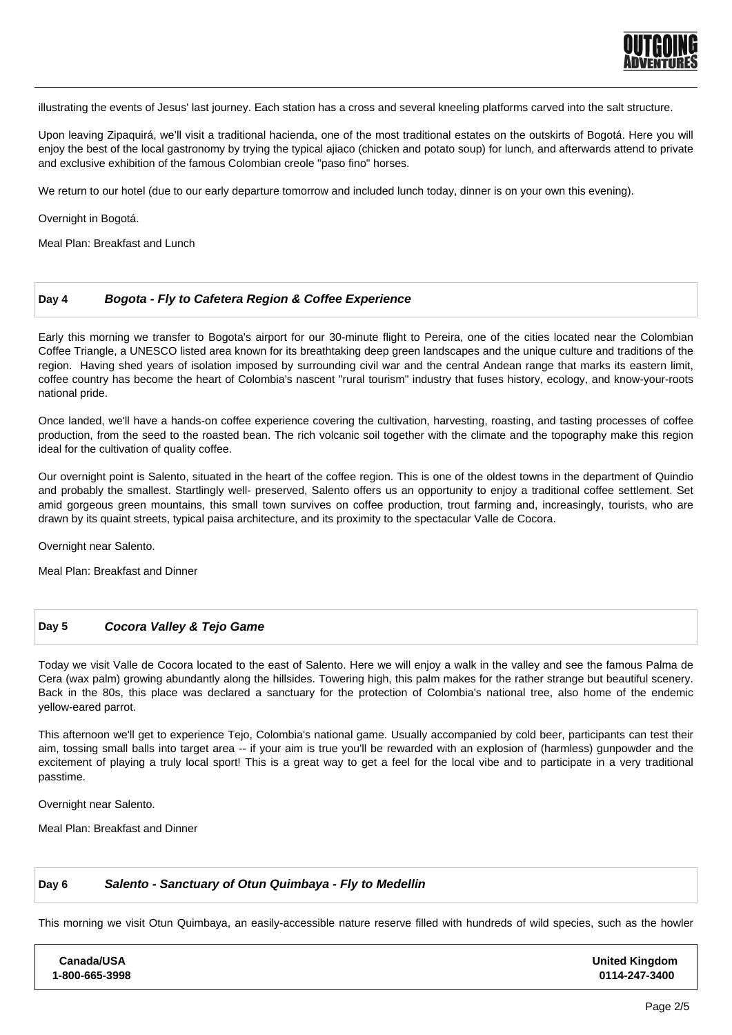

illustrating the events of Jesus' last journey. Each station has a cross and several kneeling platforms carved into the salt structure.

Upon leaving Zipaquirá, we'll visit a traditional hacienda, one of the most traditional estates on the outskirts of Bogotá. Here you will enjoy the best of the local gastronomy by trying the typical ajiaco (chicken and potato soup) for lunch, and afterwards attend to private and exclusive exhibition of the famous Colombian creole "paso fino" horses.

We return to our hotel (due to our early departure tomorrow and included lunch today, dinner is on your own this evening).

Overnight in Bogotá.

Meal Plan: Breakfast and Lunch

#### **Day 4 Bogota - Fly to Cafetera Region & Coffee Experience**

Early this morning we transfer to Bogota's airport for our 30-minute flight to Pereira, one of the cities located near the Colombian Coffee Triangle, a UNESCO listed area known for its breathtaking deep green landscapes and the unique culture and traditions of the region. Having shed years of isolation imposed by surrounding civil war and the central Andean range that marks its eastern limit, coffee country has become the heart of Colombia's nascent "rural tourism" industry that fuses history, ecology, and know-your-roots national pride.

Once landed, we'll have a hands-on coffee experience covering the cultivation, harvesting, roasting, and tasting processes of coffee production, from the seed to the roasted bean. The rich volcanic soil together with the climate and the topography make this region ideal for the cultivation of quality coffee.

Our overnight point is Salento, situated in the heart of the coffee region. This is one of the oldest towns in the department of Quindio and probably the smallest. Startlingly well- preserved, Salento offers us an opportunity to enjoy a traditional coffee settlement. Set amid gorgeous green mountains, this small town survives on coffee production, trout farming and, increasingly, tourists, who are drawn by its quaint streets, typical paisa architecture, and its proximity to the spectacular Valle de Cocora.

Overnight near Salento.

Meal Plan: Breakfast and Dinner

#### **Day 5 Cocora Valley & Tejo Game**

Today we visit Valle de Cocora located to the east of Salento. Here we will enjoy a walk in the valley and see the famous Palma de Cera (wax palm) growing abundantly along the hillsides. Towering high, this palm makes for the rather strange but beautiful scenery. Back in the 80s, this place was declared a sanctuary for the protection of Colombia's national tree, also home of the endemic yellow-eared parrot.

This afternoon we'll get to experience Tejo, Colombia's national game. Usually accompanied by cold beer, participants can test their aim, tossing small balls into target area -- if your aim is true you'll be rewarded with an explosion of (harmless) gunpowder and the excitement of playing a truly local sport! This is a great way to get a feel for the local vibe and to participate in a very traditional passtime.

Overnight near Salento.

Meal Plan: Breakfast and Dinner

#### **Day 6 Salento - Sanctuary of Otun Quimbaya - Fly to Medellin**

This morning we visit Otun Quimbaya, an easily-accessible nature reserve filled with hundreds of wild species, such as the howler

| Canada/USA     |  |
|----------------|--|
| 1-800-665-3998 |  |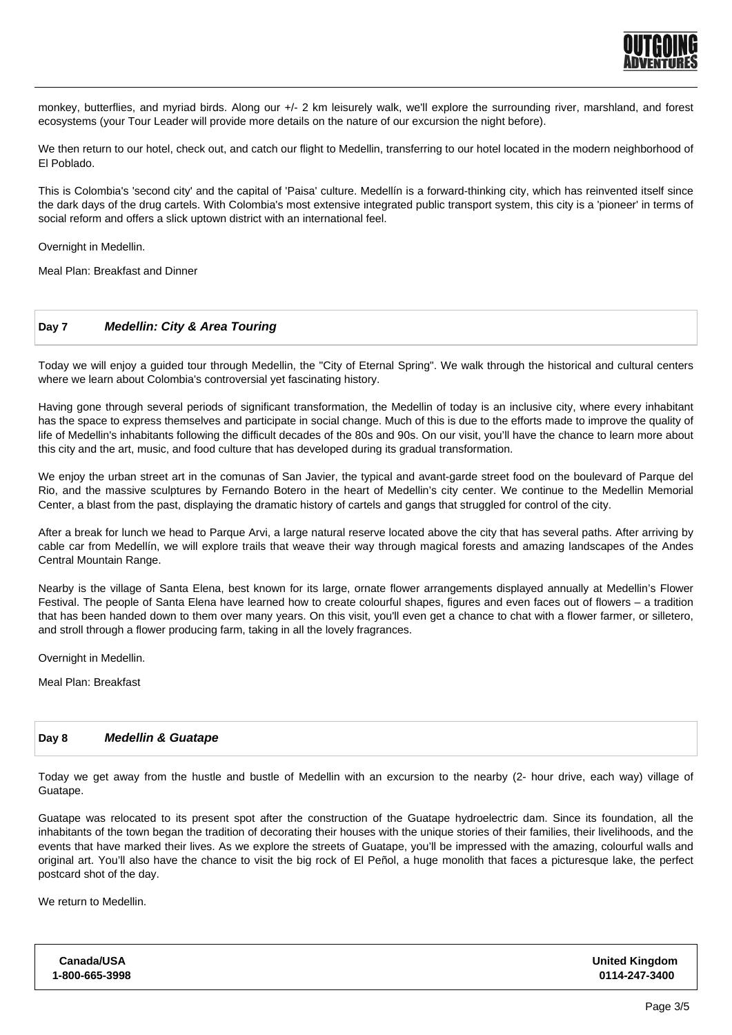

monkey, butterflies, and myriad birds. Along our +/- 2 km leisurely walk, we'll explore the surrounding river, marshland, and forest ecosystems (your Tour Leader will provide more details on the nature of our excursion the night before).

We then return to our hotel, check out, and catch our flight to Medellin, transferring to our hotel located in the modern neighborhood of El Poblado.

This is Colombia's 'second city' and the capital of 'Paisa' culture. Medellín is a forward-thinking city, which has reinvented itself since the dark days of the drug cartels. With Colombia's most extensive integrated public transport system, this city is a 'pioneer' in terms of social reform and offers a slick uptown district with an international feel.

Overnight in Medellin.

Meal Plan: Breakfast and Dinner

#### **Day 7 Medellin: City & Area Touring**

Today we will enjoy a guided tour through Medellin, the "City of Eternal Spring". We walk through the historical and cultural centers where we learn about Colombia's controversial yet fascinating history.

Having gone through several periods of significant transformation, the Medellin of today is an inclusive city, where every inhabitant has the space to express themselves and participate in social change. Much of this is due to the efforts made to improve the quality of life of Medellin's inhabitants following the difficult decades of the 80s and 90s. On our visit, you'll have the chance to learn more about this city and the art, music, and food culture that has developed during its gradual transformation.

We enjoy the urban street art in the comunas of San Javier, the typical and avant-garde street food on the boulevard of Parque del Rio, and the massive sculptures by Fernando Botero in the heart of Medellin's city center. We continue to the Medellin Memorial Center, a blast from the past, displaying the dramatic history of cartels and gangs that struggled for control of the city.

After a break for lunch we head to Parque Arvi, a large natural reserve located above the city that has several paths. After arriving by cable car from Medellín, we will explore trails that weave their way through magical forests and amazing landscapes of the Andes Central Mountain Range.

Nearby is the village of Santa Elena, best known for its large, ornate flower arrangements displayed annually at Medellin's Flower Festival. The people of Santa Elena have learned how to create colourful shapes, figures and even faces out of flowers – a tradition that has been handed down to them over many years. On this visit, you'll even get a chance to chat with a flower farmer, or silletero, and stroll through a flower producing farm, taking in all the lovely fragrances.

Overnight in Medellin.

Meal Plan: Breakfast

#### **Day 8 Medellin & Guatape**

Today we get away from the hustle and bustle of Medellin with an excursion to the nearby (2- hour drive, each way) village of Guatape.

Guatape was relocated to its present spot after the construction of the Guatape hydroelectric dam. Since its foundation, all the inhabitants of the town began the tradition of decorating their houses with the unique stories of their families, their livelihoods, and the events that have marked their lives. As we explore the streets of Guatape, you'll be impressed with the amazing, colourful walls and original art. You'll also have the chance to visit the big rock of El Peñol, a huge monolith that faces a picturesque lake, the perfect postcard shot of the day.

We return to Medellin.

| Canada/USA     | <b>United Kingdom</b> |
|----------------|-----------------------|
| 1-800-665-3998 | 0114-247-3400         |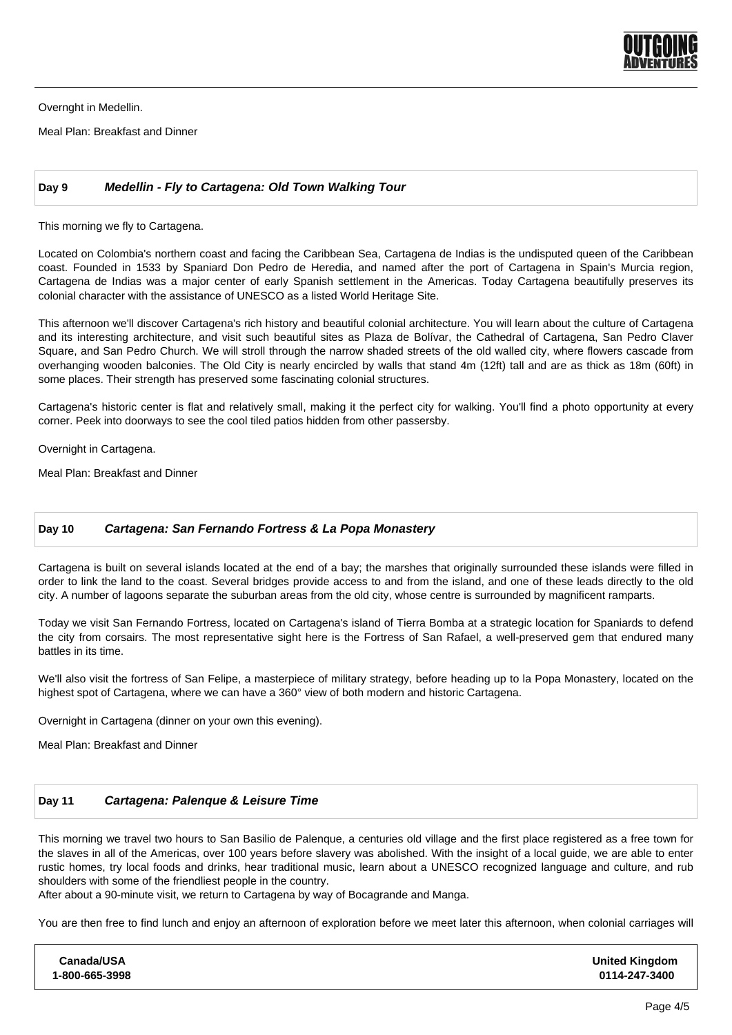

Overnght in Medellin.

Meal Plan: Breakfast and Dinner

### **Day 9 Medellin - Fly to Cartagena: Old Town Walking Tour**

This morning we fly to Cartagena.

Located on Colombia's northern coast and facing the Caribbean Sea, Cartagena de Indias is the undisputed queen of the Caribbean coast. Founded in 1533 by Spaniard Don Pedro de Heredia, and named after the port of Cartagena in Spain's Murcia region, Cartagena de Indias was a major center of early Spanish settlement in the Americas. Today Cartagena beautifully preserves its colonial character with the assistance of UNESCO as a listed World Heritage Site.

This afternoon we'll discover Cartagena's rich history and beautiful colonial architecture. You will learn about the culture of Cartagena and its interesting architecture, and visit such beautiful sites as Plaza de Bolívar, the Cathedral of Cartagena, San Pedro Claver Square, and San Pedro Church. We will stroll through the narrow shaded streets of the old walled city, where flowers cascade from overhanging wooden balconies. The Old City is nearly encircled by walls that stand 4m (12ft) tall and are as thick as 18m (60ft) in some places. Their strength has preserved some fascinating colonial structures.

Cartagena's historic center is flat and relatively small, making it the perfect city for walking. You'll find a photo opportunity at every corner. Peek into doorways to see the cool tiled patios hidden from other passersby.

Overnight in Cartagena.

Meal Plan: Breakfast and Dinner

#### **Day 10 Cartagena: San Fernando Fortress & La Popa Monastery**

Cartagena is built on several islands located at the end of a bay; the marshes that originally surrounded these islands were filled in order to link the land to the coast. Several bridges provide access to and from the island, and one of these leads directly to the old city. A number of lagoons separate the suburban areas from the old city, whose centre is surrounded by magnificent ramparts.

Today we visit San Fernando Fortress, located on Cartagena's island of Tierra Bomba at a strategic location for Spaniards to defend the city from corsairs. The most representative sight here is the Fortress of San Rafael, a well-preserved gem that endured many battles in its time.

We'll also visit the fortress of San Felipe, a masterpiece of military strategy, before heading up to la Popa Monastery, located on the highest spot of Cartagena, where we can have a 360° view of both modern and historic Cartagena.

Overnight in Cartagena (dinner on your own this evening).

Meal Plan: Breakfast and Dinner

# **Day 11 Cartagena: Palenque & Leisure Time**

This morning we travel two hours to San Basilio de Palenque, a centuries old village and the first place registered as a free town for the slaves in all of the Americas, over 100 years before slavery was abolished. With the insight of a local guide, we are able to enter rustic homes, try local foods and drinks, hear traditional music, learn about a UNESCO recognized language and culture, and rub shoulders with some of the friendliest people in the country.

After about a 90-minute visit, we return to Cartagena by way of Bocagrande and Manga.

You are then free to find lunch and enjoy an afternoon of exploration before we meet later this afternoon, when colonial carriages will

| Canada/USA     | <b>United Kingdom</b> |
|----------------|-----------------------|
| 1-800-665-3998 | 0114-247-3400         |
|                |                       |